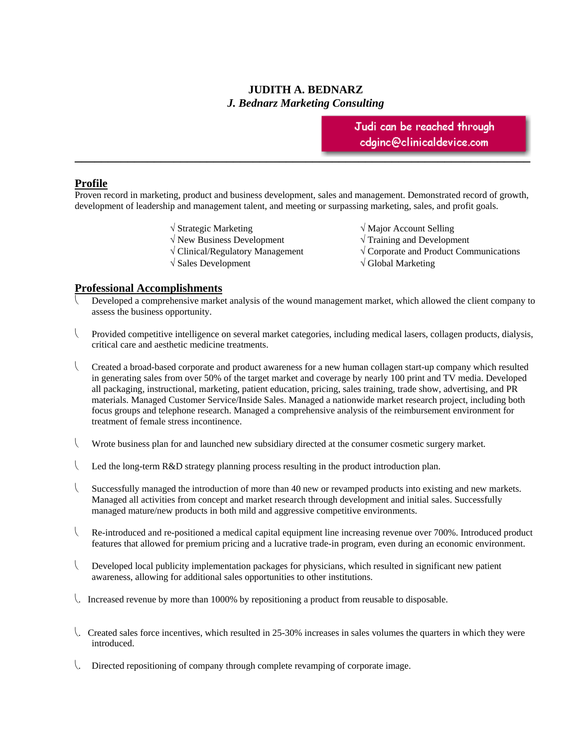# **JUDITH A. BEDNARZ**  *J. Bednarz Marketing Consulting*

Judi can be reached through  $\texttt{edginc@clin}$ inicaldevice.com

#### **Profile**

Proven record in marketing, product and business development, sales and management. Demonstrated record of growth, development of leadership and management talent, and meeting or surpassing marketing, sales, and profit goals.

**\_\_\_\_\_\_\_\_\_\_\_\_\_\_\_\_\_\_\_\_\_\_\_\_\_\_\_\_\_\_\_\_\_\_\_\_\_\_\_\_\_\_\_\_\_\_\_\_\_\_\_\_\_\_\_\_\_\_\_\_\_\_\_\_\_\_\_\_\_** 

- 
- New Business Development Training and Development
- 
- $\sqrt{\text{Sales Development}}$   $\sqrt{\text{Global Marketing}}$
- $\sqrt{\text{Major}\text{Account}\text{Selling}}$ 
	-
- $\sqrt{\frac{1}{1-\epsilon}}$  Clinical/Regulatory Management  $\sqrt{\frac{1}{1-\epsilon}}$  Corporate and Product Communications
	-

#### **Professional Accomplishments**

- Developed a comprehensive market analysis of the wound management market, which allowed the client company to assess the business opportunity.
- Provided competitive intelligence on several market categories, including medical lasers, collagen products, dialysis, critical care and aesthetic medicine treatments.
- Created a broad-based corporate and product awareness for a new human collagen start-up company which resulted in generating sales from over 50% of the target market and coverage by nearly 100 print and TV media. Developed all packaging, instructional, marketing, patient education, pricing, sales training, trade show, advertising, and PR materials. Managed Customer Service/Inside Sales. Managed a nationwide market research project, including both focus groups and telephone research. Managed a comprehensive analysis of the reimbursement environment for treatment of female stress incontinence.
- Wrote business plan for and launched new subsidiary directed at the consumer cosmetic surgery market.
- Led the long-term  $R&D$  strategy planning process resulting in the product introduction plan.
- Successfully managed the introduction of more than 40 new or revamped products into existing and new markets. Managed all activities from concept and market research through development and initial sales. Successfully managed mature/new products in both mild and aggressive competitive environments.
- Re-introduced and re-positioned a medical capital equipment line increasing revenue over 700%. Introduced product features that allowed for premium pricing and a lucrative trade-in program, even during an economic environment.
- Developed local publicity implementation packages for physicians, which resulted in significant new patient awareness, allowing for additional sales opportunities to other institutions.
- . Increased revenue by more than 1000% by repositioning a product from reusable to disposable.
- . Created sales force incentives, which resulted in 25-30% increases in sales volumes the quarters in which they were introduced.
- . Directed repositioning of company through complete revamping of corporate image.